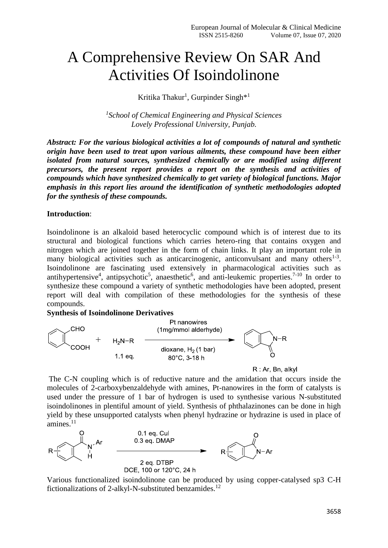# A Comprehensive Review On SAR And Activities Of Isoindolinone

Kritika Thakur<sup>1</sup>, Gurpinder Singh<sup>\*1</sup>

*1 School of Chemical Engineering and Physical Sciences Lovely Professional University, Punjab.*

*Abstract: For the various biological activities a lot of compounds of natural and synthetic origin have been used to treat upon various ailments, these compound have been either isolated from natural sources, synthesized chemically or are modified using different precursors, the present report provides a report on the synthesis and activities of compounds which have synthesized chemically to get variety of biological functions. Major emphasis in this report lies around the identification of synthetic methodologies adopted for the synthesis of these compounds.*

## **Introduction**:

Isoindolinone is an alkaloid based heterocyclic compound which is of interest due to its structural and biological functions which carries hetero-ring that contains oxygen and nitrogen which are joined together in the form of chain links. It play an important role in many biological activities such as anticarcinogenic, anticonvulsant and many others $1-3$ . Isoindolinone are fascinating used extensively in pharmacological activities such as antihypertensive<sup>4</sup>, antipsychotic<sup>5</sup>, anaesthetic<sup>6</sup>, and anti-leukemic properties.<sup>7-10</sup> In order to synthesize these compound a variety of synthetic methodologies have been adopted, present report will deal with compilation of these methodologies for the synthesis of these compounds.

### **Synthesis of Isoindolinone Derivatives**





The C-N coupling which is of reductive nature and the amidation that occurs inside the molecules of 2-carboxybenzaldehyde with amines, Pt-nanowires in the form of catalysts is used under the pressure of 1 bar of hydrogen is used to synthesise various N-substituted isoindolinones in plentiful amount of yield. Synthesis of phthalazinones can be done in high yield by these unsupported catalysts when phenyl hydrazine or hydrazine is used in place of amines.<sup>11</sup>



Various functionalized isoindolinone can be produced by using copper-catalysed sp3 C-H fictionalizations of 2-alkyl-N-substituted benzamides.<sup>12</sup>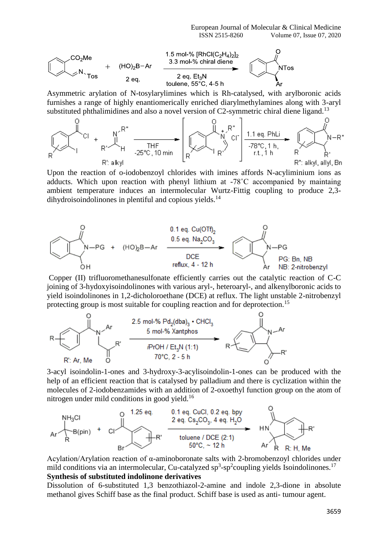

Asymmetric arylation of N-tosylarylimines which is Rh-catalysed, with arylboronic acids furnishes a range of highly enantiomerically enriched diarylmethylamines along with 3-aryl substituted phthalimidines and also a novel version of  $C2$ -symmetric chiral diene ligand.<sup>13</sup>



Upon the reaction of o-iodobenzoyl chlorides with imines affords N-acyliminium ions as adducts. Which upon reaction with phenyl lithium at -78˚C accompanied by maintaing ambient temperature induces an intermolecular Wurtz-Fittig coupling to produce 2,3  $d$ ihydroisoindolinones in plentiful and copious yields.<sup>14</sup>



Copper (II) trifluoromethanesulfonate efficiently carries out the catalytic reaction of C-C joining of 3-hydoxyisoindolinones with various aryl-, heteroaryl-, and alkenylboronic acids to yield isoindolinones in 1,2-dicholoroethane (DCE) at reflux. The light unstable 2-nitrobenzyl protecting group is most suitable for coupling reaction and for deprotection.<sup>15</sup>



3-acyl isoindolin-1-ones and 3-hydroxy-3-acylisoindolin-1-ones can be produced with the help of an efficient reaction that is catalysed by palladium and there is cyclization within the molecules of 2-iodobenzamides with an addition of 2-oxoethyl function group on the atom of



Acylation/Arylation reaction of α-aminoboronate salts with 2-bromobenzoyl chlorides under mild conditions via an intermolecular, Cu-catalyzed sp<sup>3</sup>-sp<sup>2</sup>coupling yields Isoindolinones.<sup>17</sup> **Synthesis of substituted indolinone derivatives**

Dissolution of 6-substituted 1,3 benzothiazol-2-amine and indole 2,3-dione in absolute methanol gives Schiff base as the final product. Schiff base is used as anti- tumour agent.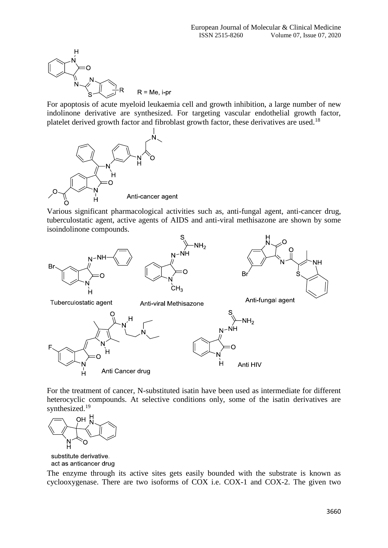

For apoptosis of acute myeloid leukaemia cell and growth inhibition, a large number of new indolinone derivative are synthesized. For targeting vascular endothelial growth factor, platelet derived growth factor and fibroblast growth factor, these derivatives are used.<sup>18</sup>



Various significant pharmacological activities such as, anti-fungal agent, anti-cancer drug, tuberculostatic agent, active agents of AIDS and anti-viral methisazone are shown by some isoindolinone compounds.



For the treatment of cancer, N-substituted isatin have been used as intermediate for different heterocyclic compounds. At selective conditions only, some of the isatin derivatives are synthesized.<sup>19</sup>



substitute derivative. act as anticancer drug

The enzyme through its active sites gets easily bounded with the substrate is known as cyclooxygenase. There are two isoforms of COX i.e. COX-1 and COX-2. The given two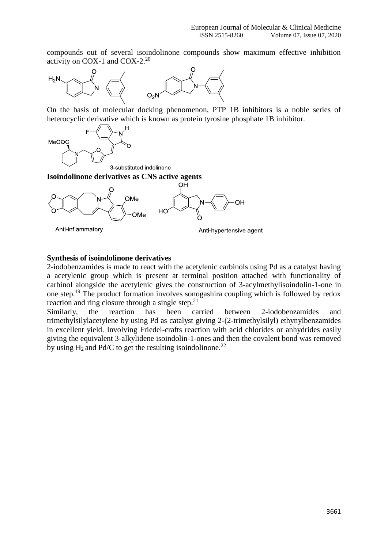compounds out of several isoindolinone compounds show maximum effective inhibition activity on COX-1 and COX-2.<sup>20</sup>



On the basis of molecular docking phenomenon, PTP 1B inhibitors is a noble series of heterocyclic derivative which is known as protein tyrosine phosphate 1B inhibitor.



3-substituted indolinone

## **Isoindolinone derivatives as CNS active agents**



## **Synthesis of isoindolinone derivatives**

2-iodobenzamides is made to react with the acetylenic carbinols using Pd as a catalyst having a acetylenic group which is present at terminal position attached with functionality of carbinol alongside the acetylenic gives the construction of 3-acylmethylisoindolin-1-one in one step.<sup>19</sup> The product formation involves sonogashira coupling which is followed by redox reaction and ring closure through a single step. $21$ 

Similarly, the reaction has been carried between 2-iodobenzamides and trimethylsilylacetylene by using Pd as catalyst giving 2-(2-trimethylsilyl) ethynylbenzamides in excellent yield. Involving Friedel-crafts reaction with acid chlorides or anhydrides easily giving the equivalent 3-alkylidene isoindolin-1-ones and then the covalent bond was removed by using  $H_2$  and Pd/C to get the resulting isoindolinone.<sup>22</sup>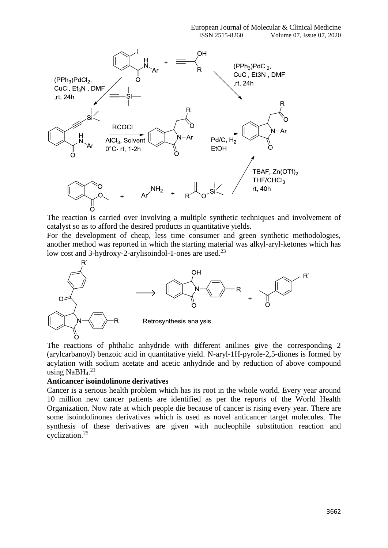

The reaction is carried over involving a multiple synthetic techniques and involvement of catalyst so as to afford the desired products in quantitative yields.

For the development of cheap, less time consumer and green synthetic methodologies, another method was reported in which the starting material was alkyl-aryl-ketones which has low cost and  $3$ -hydroxy-2-arylisoindol-1-ones are used.<sup>23</sup>



The reactions of phthalic anhydride with different anilines give the corresponding 2 (arylcarbanoyl) benzoic acid in quantitative yield. N-aryl-1H-pyrole-2,5-diones is formed by acylation with sodium acetate and acetic anhydride and by reduction of above compound using NaBH<sub>4</sub>.<sup>21</sup>

## **Anticancer isoindolinone derivatives**

Cancer is a serious health problem which has its root in the whole world. Every year around 10 million new cancer patients are identified as per the reports of the World Health Organization. Now rate at which people die because of cancer is rising every year. There are some isoindolinones derivatives which is used as novel anticancer target molecules. The synthesis of these derivatives are given with nucleophile substitution reaction and cyclization.<sup>25</sup>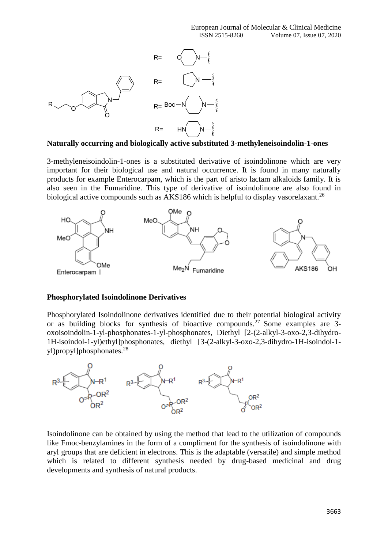

**Naturally occurring and biologically active substituted 3-methyleneisoindolin-1-ones**

3-methyleneisoindolin-1-ones is a substituted derivative of isoindolinone which are very important for their biological use and natural occurrence. It is found in many naturally products for example Enterocarpam, which is the part of aristo lactam alkaloids family. It is also seen in the Fumaridine. This type of derivative of isoindolinone are also found in biological active compounds such as AKS186 which is helpful to display vasorelaxant.<sup>26</sup>



#### **Phosphorylated Isoindolinone Derivatives**

Phosphorylated Isoindolinone derivatives identified due to their potential biological activity or as building blocks for synthesis of bioactive compounds.<sup>27</sup> Some examples are 3oxoisoindolin-1-yl-phosphonates-1-yl-phosphonates, Diethyl [2-(2-alkyl-3-oxo-2,3-dihydro-1H-isoindol-1-yl)ethyl]phosphonates, diethyl [3-(2-alkyl-3-oxo-2,3-dihydro-1H-isoindol-1 yl)propyl]phosphonates.<sup>28</sup>



Isoindolinone can be obtained by using the method that lead to the utilization of compounds like Fmoc-benzylamines in the form of a compliment for the synthesis of isoindolinone with aryl groups that are deficient in electrons. This is the adaptable (versatile) and simple method which is related to different synthesis needed by drug-based medicinal and drug developments and synthesis of natural products.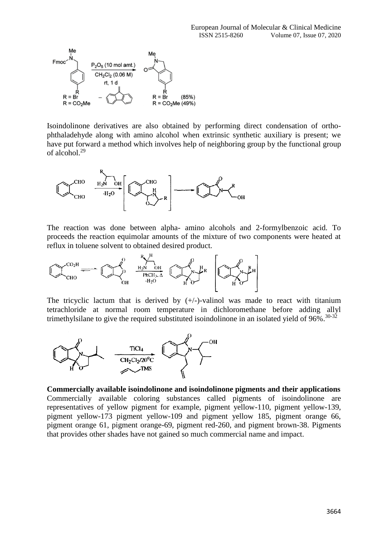

Isoindolinone derivatives are also obtained by performing direct condensation of orthophthaladehyde along with amino alcohol when extrinsic synthetic auxiliary is present; we have put forward a method which involves help of neighboring group by the functional group of alcohol.<sup>29</sup>



The reaction was done between alpha- amino alcohols and 2-formylbenzoic acid. To proceeds the reaction equimolar amounts of the mixture of two components were heated at reflux in toluene solvent to obtained desired product.



The tricyclic lactum that is derived by  $(+/-)$ -valinol was made to react with titanium tetrachloride at normal room temperature in dichloromethane before adding allyl trimethylsilane to give the required substituted isoindolinone in an isolated yield of 96%.<sup>30-32</sup>



**Commercially available isoindolinone and isoindolinone pigments and their applications** Commercially available coloring substances called pigments of isoindolinone are representatives of yellow pigment for example, pigment yellow-110, pigment yellow-139, pigment yellow-173 pigment yellow-109 and pigment yellow 185, pigment orange 66, pigment orange 61, pigment orange-69, pigment red-260, and pigment brown-38. Pigments that provides other shades have not gained so much commercial name and impact.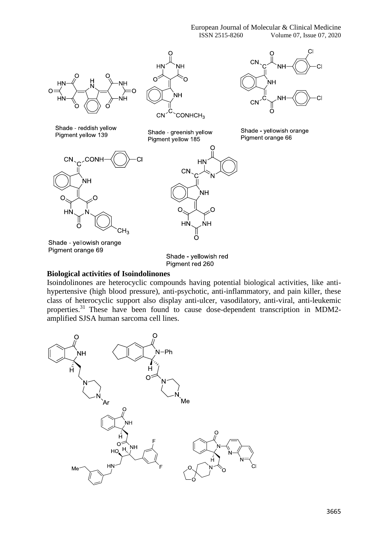

### **Biological activities of Isoindolinones**

Isoindolinones are heterocyclic compounds having potential biological activities, like antihypertensive (high blood pressure), anti-psychotic, anti-inflammatory, and pain killer, these class of heterocyclic support also display anti-ulcer, vasodilatory, anti-viral, anti-leukemic properties.<sup>31</sup> These have been found to cause dose-dependent transcription in MDM2amplified SJSA human sarcoma cell lines.



3665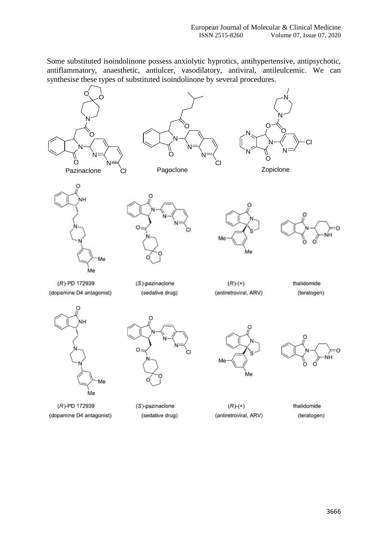Some substituted isoindolinone possess anxiolytic hyprotics, antihypertensive, antipsychotic, antiflammatory, anaesthetic, antiulcer, vasodilatory, antiviral, antileulcemic. We can synthesise these types of substituted isoindolinone by several procedures.



(R)-PD 172939 (dopamine D4 antagonist)

(S)-pazinaclone (sedative drug)

 $(R)-(+)$ (antiretroviral, ARV)

thalidomide (teratogen)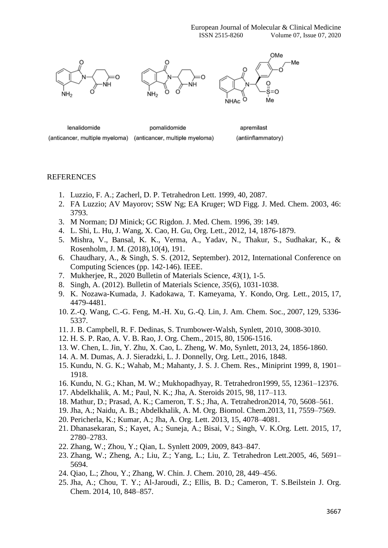European Journal of Molecular & Clinical Medicine ISSN 2515-8260 Volume 07, Issue 07, 2020



lenalidomide pomalidomide apremilast (anticancer, multiple myeloma) (anticancer, multiple myeloma) (antiinflammatory)

#### REFERENCES

- 1. Luzzio, F. A.; Zacherl, D. P. Tetrahedron Lett. 1999, 40, 2087.
- 2. FA Luzzio; AV Mayorov; SSW Ng; EA Kruger; WD Figg. J. Med. Chem. 2003, 46: 3793.
- 3. M Norman; DJ Minick; GC Rigdon. J. Med. Chem. 1996, 39: 149.
- 4. L. Shi, L. Hu, J. Wang, X. Cao, H. Gu, Org. Lett., 2012, 14, 1876-1879.
- 5. Mishra, V., Bansal, K. K., Verma, A., Yadav, N., Thakur, S., Sudhakar, K., & Rosenholm, J. M. (2018),1*0*(4), 191.
- 6. Chaudhary, A., & Singh, S. S. (2012, September). 2012, International Conference on Computing Sciences (pp. 142-146). IEEE.
- 7. Mukherjee, R., 2020 Bulletin of Materials Science, *43*(1), 1-5.
- 8. Singh, A. (2012). Bulletin of Materials Science, *35*(6), 1031-1038.
- 9. K. Nozawa-Kumada, J. Kadokawa, T. Kameyama, Y. Kondo, Org. Lett., 2015, 17, 4479-4481.
- 10. Z.-Q. Wang, C.-G. Feng, M.-H. Xu, G.-Q. Lin, J. Am. Chem. Soc., 2007, 129, 5336- 5337.
- 11. J. B. Campbell, R. F. Dedinas, S. Trumbower-Walsh, Synlett, 2010, 3008-3010.
- 12. H. S. P. Rao, A. V. B. Rao, J. Org. Chem., 2015, 80, 1506-1516.
- 13. W. Chen, L. Jin, Y. Zhu, X. Cao, L. Zheng, W. Mo, Synlett, 2013, 24, 1856-1860.
- 14. A. M. Dumas, A. J. Sieradzki, L. J. Donnelly, Org. Lett., 2016, 1848.
- 15. Kundu, N. G. K.; Wahab, M.; Mahanty, J. S. J. Chem. Res., Miniprint 1999, 8, 1901– 1918.
- 16. Kundu, N. G.; Khan, M. W.; Mukhopadhyay, R. Tetrahedron1999, 55, 12361–12376.
- 17. Abdelkhalik, A. M.; Paul, N. K.; Jha, A. Steroids 2015, 98, 117–113.
- 18. Mathur, D.; Prasad, A. K.; Cameron, T. S.; Jha, A. Tetrahedron2014, 70, 5608–561.
- 19. Jha, A.; Naidu, A. B.; Abdelkhalik, A. M. Org. Biomol. Chem.2013, 11, 7559–7569.
- 20. Pericherla, K.; Kumar, A.; Jha, A. Org. Lett. 2013, 15, 4078–4081.
- 21. Dhanasekaran, S.; Kayet, A.; Suneja, A.; Bisai, V.; Singh, V. K.Org. Lett. 2015, 17, 2780–2783.
- 22. Zhang, W.; Zhou, Y.; Qian, L. Synlett 2009, 2009, 843–847.
- 23. Zhang, W.; Zheng, A.; Liu, Z.; Yang, L.; Liu, Z. Tetrahedron Lett.2005, 46, 5691– 5694.
- 24. Qiao, L.; Zhou, Y.; Zhang, W. Chin. J. Chem. 2010, 28, 449–456.
- 25. Jha, A.; Chou, T. Y.; Al-Jaroudi, Z.; Ellis, B. D.; Cameron, T. S.Beilstein J. Org. Chem. 2014, 10, 848–857.